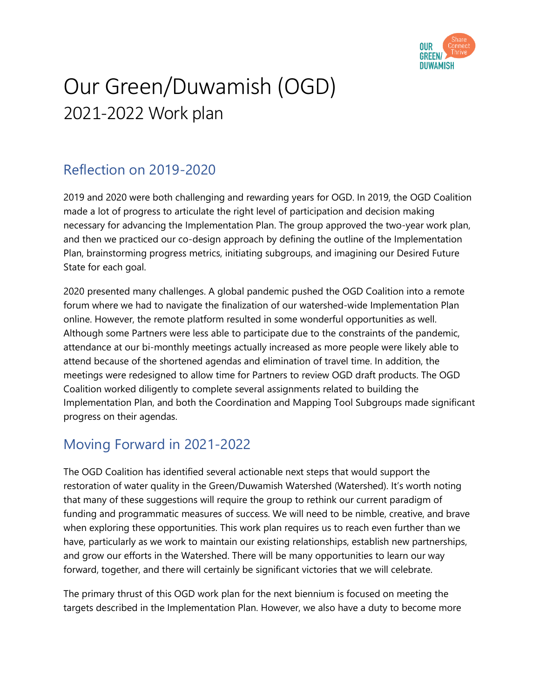

# Our Green/Duwamish (OGD) 2021-2022 Work plan

# Reflection on 2019-2020

2019 and 2020 were both challenging and rewarding years for OGD. In 2019, the OGD Coalition made a lot of progress to articulate the right level of participation and decision making necessary for advancing the Implementation Plan. The group approved the two-year work plan, and then we practiced our co-design approach by defining the outline of the Implementation Plan, brainstorming progress metrics, initiating subgroups, and imagining our Desired Future State for each goal.

2020 presented many challenges. A global pandemic pushed the OGD Coalition into a remote forum where we had to navigate the finalization of our watershed-wide Implementation Plan online. However, the remote platform resulted in some wonderful opportunities as well. Although some Partners were less able to participate due to the constraints of the pandemic, attendance at our bi-monthly meetings actually increased as more people were likely able to attend because of the shortened agendas and elimination of travel time. In addition, the meetings were redesigned to allow time for Partners to review OGD draft products. The OGD Coalition worked diligently to complete several assignments related to building the Implementation Plan, and both the Coordination and Mapping Tool Subgroups made significant progress on their agendas.

# Moving Forward in 2021-2022

The OGD Coalition has identified several actionable next steps that would support the restoration of water quality in the Green/Duwamish Watershed (Watershed). It's worth noting that many of these suggestions will require the group to rethink our current paradigm of funding and programmatic measures of success. We will need to be nimble, creative, and brave when exploring these opportunities. This work plan requires us to reach even further than we have, particularly as we work to maintain our existing relationships, establish new partnerships, and grow our efforts in the Watershed. There will be many opportunities to learn our way forward, together, and there will certainly be significant victories that we will celebrate.

The primary thrust of this OGD work plan for the next biennium is focused on meeting the targets described in the Implementation Plan. However, we also have a duty to become more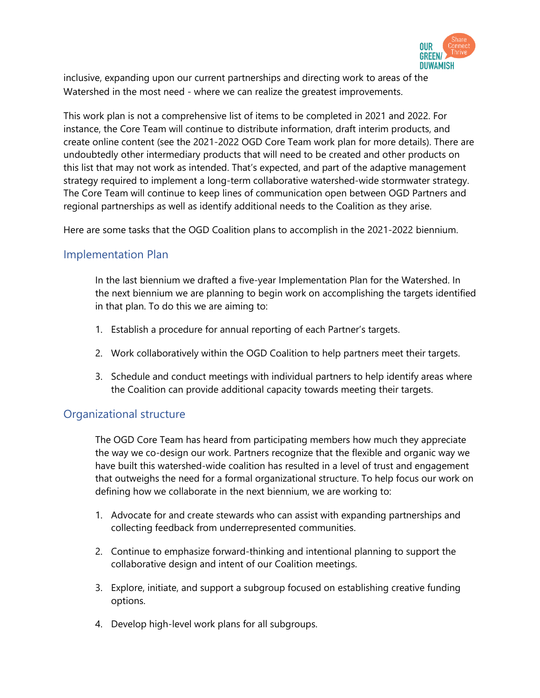

inclusive, expanding upon our current partnerships and directing work to areas of the Watershed in the most need - where we can realize the greatest improvements.

This work plan is not a comprehensive list of items to be completed in 2021 and 2022. For instance, the Core Team will continue to distribute information, draft interim products, and create online content (see the 2021-2022 OGD Core Team work plan for more details). There are undoubtedly other intermediary products that will need to be created and other products on this list that may not work as intended. That's expected, and part of the adaptive management strategy required to implement a long-term collaborative watershed-wide stormwater strategy. The Core Team will continue to keep lines of communication open between OGD Partners and regional partnerships as well as identify additional needs to the Coalition as they arise.

Here are some tasks that the OGD Coalition plans to accomplish in the 2021-2022 biennium.

#### Implementation Plan

In the last biennium we drafted a five-year Implementation Plan for the Watershed. In the next biennium we are planning to begin work on accomplishing the targets identified in that plan. To do this we are aiming to:

- 1. Establish a procedure for annual reporting of each Partner's targets.
- 2. Work collaboratively within the OGD Coalition to help partners meet their targets.
- 3. Schedule and conduct meetings with individual partners to help identify areas where the Coalition can provide additional capacity towards meeting their targets.

#### Organizational structure

The OGD Core Team has heard from participating members how much they appreciate the way we co-design our work. Partners recognize that the flexible and organic way we have built this watershed-wide coalition has resulted in a level of trust and engagement that outweighs the need for a formal organizational structure. To help focus our work on defining how we collaborate in the next biennium, we are working to:

- 1. Advocate for and create stewards who can assist with expanding partnerships and collecting feedback from underrepresented communities.
- 2. Continue to emphasize forward-thinking and intentional planning to support the collaborative design and intent of our Coalition meetings.
- 3. Explore, initiate, and support a subgroup focused on establishing creative funding options.
- 4. Develop high-level work plans for all subgroups.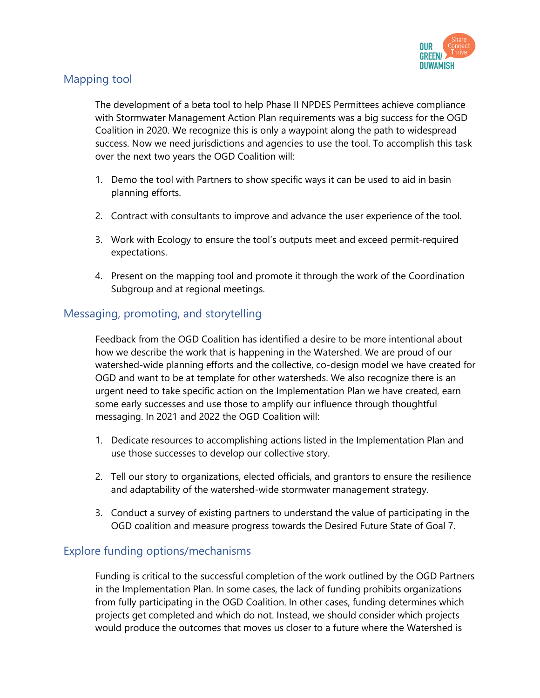

#### Mapping tool

The development of a beta tool to help Phase II NPDES Permittees achieve compliance with Stormwater Management Action Plan requirements was a big success for the OGD Coalition in 2020. We recognize this is only a waypoint along the path to widespread success. Now we need jurisdictions and agencies to use the tool. To accomplish this task over the next two years the OGD Coalition will:

- 1. Demo the tool with Partners to show specific ways it can be used to aid in basin planning efforts.
- 2. Contract with consultants to improve and advance the user experience of the tool.
- 3. Work with Ecology to ensure the tool's outputs meet and exceed permit-required expectations.
- 4. Present on the mapping tool and promote it through the work of the Coordination Subgroup and at regional meetings.

#### Messaging, promoting, and storytelling

Feedback from the OGD Coalition has identified a desire to be more intentional about how we describe the work that is happening in the Watershed. We are proud of our watershed-wide planning efforts and the collective, co-design model we have created for OGD and want to be at template for other watersheds. We also recognize there is an urgent need to take specific action on the Implementation Plan we have created, earn some early successes and use those to amplify our influence through thoughtful messaging. In 2021 and 2022 the OGD Coalition will:

- 1. Dedicate resources to accomplishing actions listed in the Implementation Plan and use those successes to develop our collective story.
- 2. Tell our story to organizations, elected officials, and grantors to ensure the resilience and adaptability of the watershed-wide stormwater management strategy.
- 3. Conduct a survey of existing partners to understand the value of participating in the OGD coalition and measure progress towards the Desired Future State of Goal 7.

### Explore funding options/mechanisms

Funding is critical to the successful completion of the work outlined by the OGD Partners in the Implementation Plan. In some cases, the lack of funding prohibits organizations from fully participating in the OGD Coalition. In other cases, funding determines which projects get completed and which do not. Instead, we should consider which projects would produce the outcomes that moves us closer to a future where the Watershed is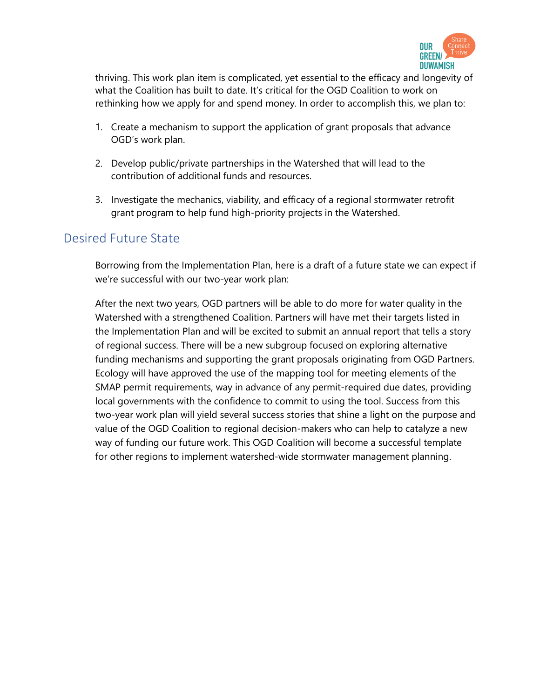

thriving. This work plan item is complicated, yet essential to the efficacy and longevity of what the Coalition has built to date. It's critical for the OGD Coalition to work on rethinking how we apply for and spend money. In order to accomplish this, we plan to:

- 1. Create a mechanism to support the application of grant proposals that advance OGD's work plan.
- 2. Develop public/private partnerships in the Watershed that will lead to the contribution of additional funds and resources.
- 3. Investigate the mechanics, viability, and efficacy of a regional stormwater retrofit grant program to help fund high-priority projects in the Watershed.

## Desired Future State

Borrowing from the Implementation Plan, here is a draft of a future state we can expect if we're successful with our two-year work plan:

After the next two years, OGD partners will be able to do more for water quality in the Watershed with a strengthened Coalition. Partners will have met their targets listed in the Implementation Plan and will be excited to submit an annual report that tells a story of regional success. There will be a new subgroup focused on exploring alternative funding mechanisms and supporting the grant proposals originating from OGD Partners. Ecology will have approved the use of the mapping tool for meeting elements of the SMAP permit requirements, way in advance of any permit-required due dates, providing local governments with the confidence to commit to using the tool. Success from this two-year work plan will yield several success stories that shine a light on the purpose and value of the OGD Coalition to regional decision-makers who can help to catalyze a new way of funding our future work. This OGD Coalition will become a successful template for other regions to implement watershed-wide stormwater management planning.